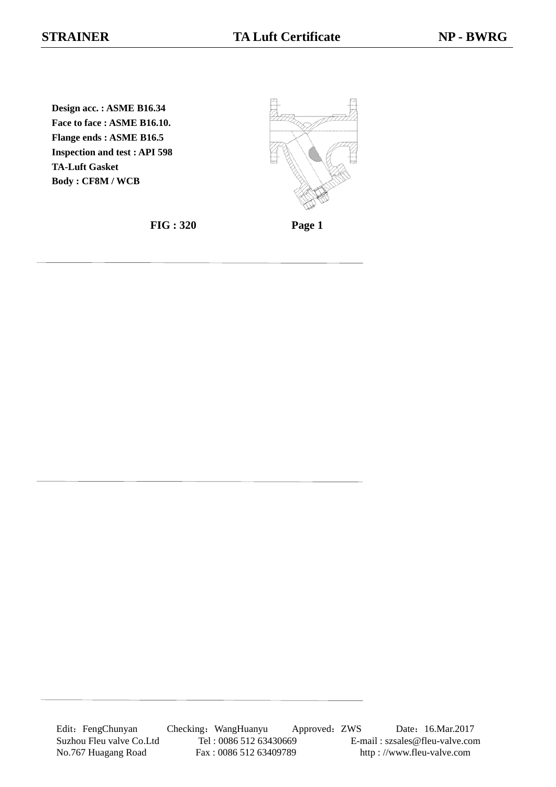**Design acc. : ASME B16.34 Face to face : ASME B16.10. Flange ends : ASME B16.5 Inspection and test : API 598 TA-Luft Gasket Body : CF8M / WCB**



**FIG : 320 Page 1**

Edit: FengChunyan Checking: WangHuanyu Approved: ZWS Date: 16.Mar.2017 Suzhou Fleu valve Co.Ltd Tel : 0086 512 63430669 E-mail : szsales@fleu-valve.com No.767 Huagang Road Fax : 0086 512 63409789 http : //www.fleu-valve.com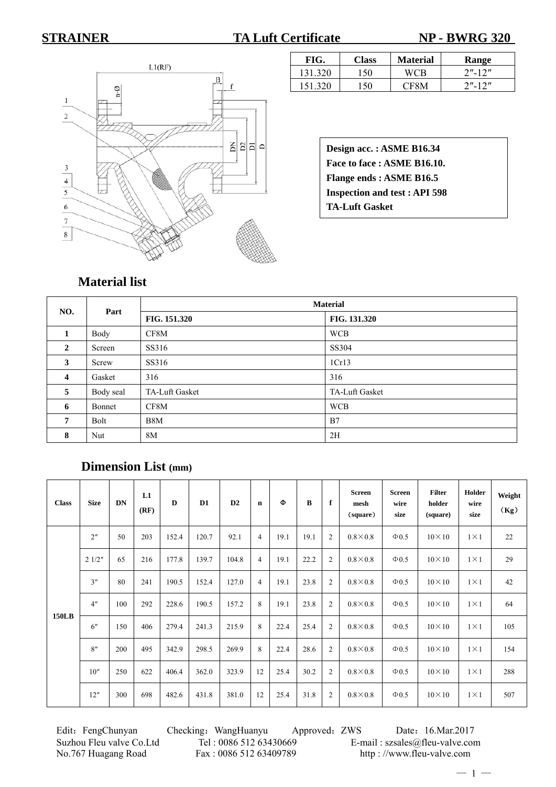**STRAINER TA Luft Certificate NP - BWRG 320** 



| FIG.    | <b>Class</b> | <b>Material</b> | Range      |
|---------|--------------|-----------------|------------|
| 131.320 | 150          | WC R            | $2" - 12"$ |
| 151 320 | 150          | CE8M            | $2" - 12"$ |

**Design acc. : ASME B16.34 Face to face : ASME B16.10. Flange ends : ASME B16.5 Inspection and test : API 598 TA-Luft Gasket**

### **Material list**

| NO.                     | Part      | <b>Material</b> |                |  |  |  |  |  |  |
|-------------------------|-----------|-----------------|----------------|--|--|--|--|--|--|
|                         |           | FIG. 151.320    | FIG. 131.320   |  |  |  |  |  |  |
| 1                       | Body      | CF8M            | <b>WCB</b>     |  |  |  |  |  |  |
| $\mathbf{2}$            | Screen    | SS316           | SS304          |  |  |  |  |  |  |
| 3                       | Screw     | SS316           | 1Cr13          |  |  |  |  |  |  |
| $\overline{\mathbf{4}}$ | Gasket    | 316             | 316            |  |  |  |  |  |  |
| 5                       | Body seal | TA-Luft Gasket  | TA-Luft Gasket |  |  |  |  |  |  |
| 6                       | Bonnet    | CF8M            | <b>WCB</b>     |  |  |  |  |  |  |
| 7                       | Bolt      | B8M             | B7             |  |  |  |  |  |  |
| 8                       | Nut       | 8M              | 2H             |  |  |  |  |  |  |

## **Dimension List (mm)**

| <b>Class</b> | <b>Size</b>    | <b>DN</b> | L1<br>(RF) | D     | D1    | D2    | n              | Ф    | B    | f              | <b>Screen</b><br>mesh<br>(square) | <b>Screen</b><br>wire<br>size | <b>Filter</b><br>holder<br>(square) | Holder<br>wire<br>size | Weight<br>(Kg) |
|--------------|----------------|-----------|------------|-------|-------|-------|----------------|------|------|----------------|-----------------------------------|-------------------------------|-------------------------------------|------------------------|----------------|
|              | 2 <sup>n</sup> | 50        | 203        | 152.4 | 120.7 | 92.1  | $\overline{4}$ | 19.1 | 19.1 | $\overline{2}$ | $0.8\times0.8$                    | $\Phi$ 0.5                    | $10\times10$                        | $1\times1$             | 22             |
|              | 21/2"          | 65        | 216        | 177.8 | 139.7 | 104.8 | $\overline{4}$ | 19.1 | 22.2 | $\overline{2}$ | $0.8\times0.8$                    | $\Phi$ 0.5                    | $10\times10$                        | $1\times1$             | 29             |
|              | 3''            | 80        | 241        | 190.5 | 152.4 | 127.0 | $\overline{4}$ | 19.1 | 23.8 | $\mathfrak{2}$ | $0.8\times0.8$                    | $\Phi$ 0.5                    | $10\times10$                        | $1 \times 1$           | 42             |
|              | 4 <sup>n</sup> | 100       | 292        | 228.6 | 190.5 | 157.2 | 8              | 19.1 | 23.8 | $\overline{2}$ | $0.8\times0.8$                    | $\Phi$ 0.5                    | $10\times10$                        | $1 \times 1$           | 64             |
| <b>150LB</b> | 6''            | 150       | 406        | 279.4 | 241.3 | 215.9 | 8              | 22.4 | 25.4 | $\overline{2}$ | $0.8\times0.8$                    | $\Phi$ 0.5                    | $10\times10$                        | $1 \times 1$           | 105            |
|              | 8''            | 200       | 495        | 342.9 | 298.5 | 269.9 | 8              | 22.4 | 28.6 | $\overline{2}$ | $0.8\times0.8$                    | $\Phi$ 0.5                    | $10\times10$                        | $1 \times 1$           | 154            |
|              | 10''           | 250       | 622        | 406.4 | 362.0 | 323.9 | 12             | 25.4 | 30.2 | $\overline{2}$ | $0.8\times0.8$                    | $\Phi$ 0.5                    | $10\times10$                        | $1 \times 1$           | 288            |
|              | 12"            | 300       | 698        | 482.6 | 431.8 | 381.0 | 12             | 25.4 | 31.8 | $\overline{2}$ | $0.8\times0.8$                    | $\Phi$ 0.5                    | $10\times10$                        | $1 \times 1$           | 507            |

Edit: FengChunyan Checking: WangHuanyu Approved: ZWS Date: 16.Mar.2017 Suzhou Fleu valve Co.Ltd Tel : 0086 512 63430669 E-mail : szsales@fleu-valve.com No.767 Huagang Road Fax : 0086 512 63409789 http : //www.fleu-valve.com

 $-1 -$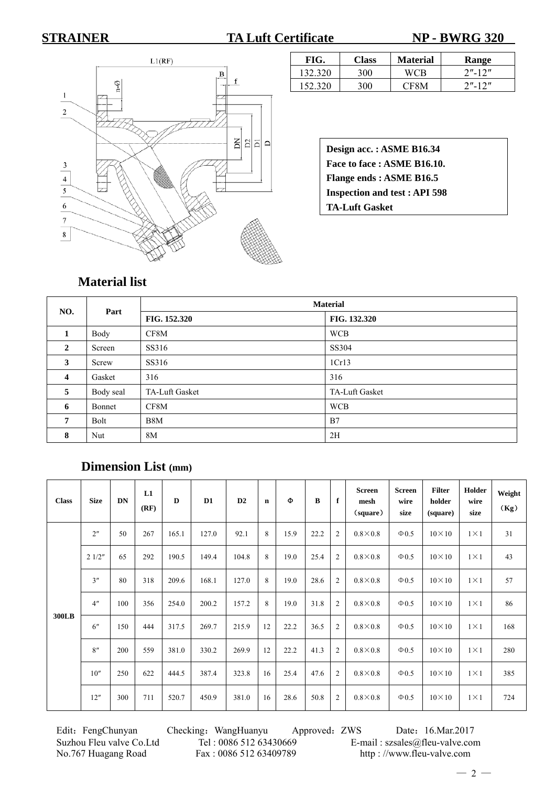**STRAINER TA Luft Certificate NP - BWRG 320** 



| FIG.    | <b>Class</b> | <b>Material</b> | Range      |
|---------|--------------|-----------------|------------|
| 132.320 | 300          | <b>WCB</b>      | $2"$ -12"  |
| 152.320 | 300          | <b>CESM</b>     | $2" - 12"$ |

**Design acc. : ASME B16.34 Face to face : ASME B16.10. Flange ends : ASME B16.5 Inspection and test : API 598 TA-Luft Gasket**

## **Material list**

| NO.            | Part      | <b>Material</b> |                |  |  |  |  |  |  |
|----------------|-----------|-----------------|----------------|--|--|--|--|--|--|
|                |           | FIG. 152.320    | FIG. 132.320   |  |  |  |  |  |  |
| 1              | Body      | CF8M            | <b>WCB</b>     |  |  |  |  |  |  |
| $\overline{2}$ | Screen    | SS316           | SS304          |  |  |  |  |  |  |
| 3              | Screw     | SS316           | 1Cr13          |  |  |  |  |  |  |
| $\overline{4}$ | Gasket    | 316             | 316            |  |  |  |  |  |  |
| 5              | Body seal | TA-Luft Gasket  | TA-Luft Gasket |  |  |  |  |  |  |
| 6              | Bonnet    | CF8M            | <b>WCB</b>     |  |  |  |  |  |  |
| 7              | Bolt      | B8M             | B7             |  |  |  |  |  |  |
| 8              | Nut       | 8M              | 2H             |  |  |  |  |  |  |

# **Dimension List (mm)**

| <b>Class</b> | <b>Size</b>    | <b>DN</b> | L1<br>(RF) | D     | D1    | D2    | $\mathbf n$ | Ф    | $\bf{B}$ | f              | <b>Screen</b><br>mesh<br>(square) | <b>Screen</b><br>wire<br>size | <b>Filter</b><br>holder<br>(square) | Holder<br>wire<br>size | Weight<br>(Kg) |
|--------------|----------------|-----------|------------|-------|-------|-------|-------------|------|----------|----------------|-----------------------------------|-------------------------------|-------------------------------------|------------------------|----------------|
|              | 2 <sup>n</sup> | 50        | 267        | 165.1 | 127.0 | 92.1  | 8           | 15.9 | 22.2     | $\overline{2}$ | $0.8\times0.8$                    | $\Phi$ 0.5                    | $10\times10$                        | $1\times1$             | 31             |
|              | 21/2"          | 65        | 292        | 190.5 | 149.4 | 104.8 | 8           | 19.0 | 25.4     | $\overline{2}$ | $0.8\times0.8$                    | $\Phi$ 0.5                    | $10 \times 10$                      | $1 \times 1$           | 43             |
|              | 3''            | 80        | 318        | 209.6 | 168.1 | 127.0 | 8           | 19.0 | 28.6     | $\overline{2}$ | $0.8\times0.8$                    | $\Phi$ 0.5                    | $10 \times 10$                      | $1 \times 1$           | 57             |
|              | 4 <sup>n</sup> | 100       | 356        | 254.0 | 200.2 | 157.2 | 8           | 19.0 | 31.8     | $\overline{2}$ | $0.8\times0.8$                    | $\Phi$ 0.5                    | $10 \times 10$                      | $1 \times 1$           | 86             |
| <b>300LB</b> | 6''            | 150       | 444        | 317.5 | 269.7 | 215.9 | 12          | 22.2 | 36.5     | $\overline{c}$ | $0.8\times0.8$                    | $\Phi$ 0.5                    | $10\times10$                        | $1\times1$             | 168            |
|              | 8''            | 200       | 559        | 381.0 | 330.2 | 269.9 | 12          | 22.2 | 41.3     | $\overline{2}$ | $0.8\times0.8$                    | $\Phi$ 0.5                    | $10 \times 10$                      | $1 \times 1$           | 280            |
|              | 10''           | 250       | 622        | 444.5 | 387.4 | 323.8 | 16          | 25.4 | 47.6     | $\overline{c}$ | $0.8\times0.8$                    | $\Phi$ 0.5                    | $10\times10$                        | $1\times1$             | 385            |
|              | 12"            | 300       | 711        | 520.7 | 450.9 | 381.0 | 16          | 28.6 | 50.8     | $\overline{2}$ | $0.8\times0.8$                    | $\Phi$ 0.5                    | $10 \times 10$                      | $1 \times 1$           | 724            |

No.767 Huagang Road Fax : 0086 512 63409789 http : //www.fleu-valve.com

Edit: FengChunyan Checking: WangHuanyu Approved: ZWS Date: 16.Mar.2017 Suzhou Fleu valve Co.Ltd Tel : 0086 512 63430669 E-mail : szsales@fleu-valve.com

 $-2-$